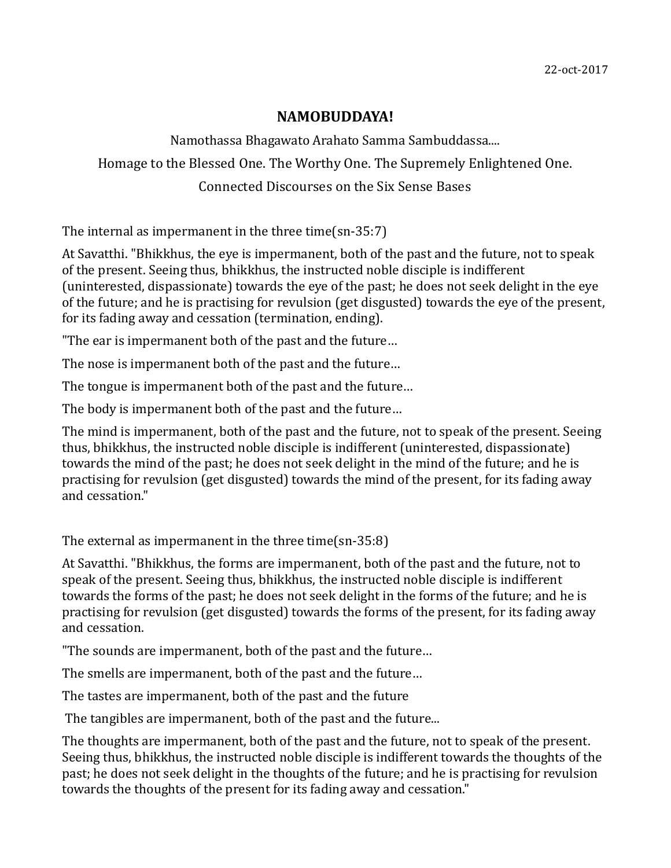## **NAMOBUDDAYA!**

Namothassa Bhagawato Arahato Samma Sambuddassa.... Homage to the Blessed One. The Worthy One. The Supremely Enlightened One. Connected Discourses on the Six Sense Bases

The internal as impermanent in the three time(sn-35:7)

At Savatthi. "Bhikkhus, the eye is impermanent, both of the past and the future, not to speak of the present. Seeing thus, bhikkhus, the instructed noble disciple is indifferent (uninterested, dispassionate) towards the eye of the past; he does not seek delight in the eye of the future; and he is practising for revulsion (get disgusted) towards the eye of the present, for its fading away and cessation (termination, ending).

"The ear is impermanent both of the past and the future…

The nose is impermanent both of the past and the future…

The tongue is impermanent both of the past and the future…

The body is impermanent both of the past and the future…

The mind is impermanent, both of the past and the future, not to speak of the present. Seeing thus, bhikkhus, the instructed noble disciple is indifferent (uninterested, dispassionate) towards the mind of the past; he does not seek delight in the mind of the future; and he is practising for revulsion (get disgusted) towards the mind of the present, for its fading away and cessation."

The external as impermanent in the three time(sn-35:8)

At Savatthi. "Bhikkhus, the forms are impermanent, both of the past and the future, not to speak of the present. Seeing thus, bhikkhus, the instructed noble disciple is indifferent towards the forms of the past; he does not seek delight in the forms of the future; and he is practising for revulsion (get disgusted) towards the forms of the present, for its fading away and cessation.

"The sounds are impermanent, both of the past and the future…

The smells are impermanent, both of the past and the future…

The tastes are impermanent, both of the past and the future

The tangibles are impermanent, both of the past and the future...

The thoughts are impermanent, both of the past and the future, not to speak of the present. Seeing thus, bhikkhus, the instructed noble disciple is indifferent towards the thoughts of the past; he does not seek delight in the thoughts of the future; and he is practising for revulsion towards the thoughts of the present for its fading away and cessation."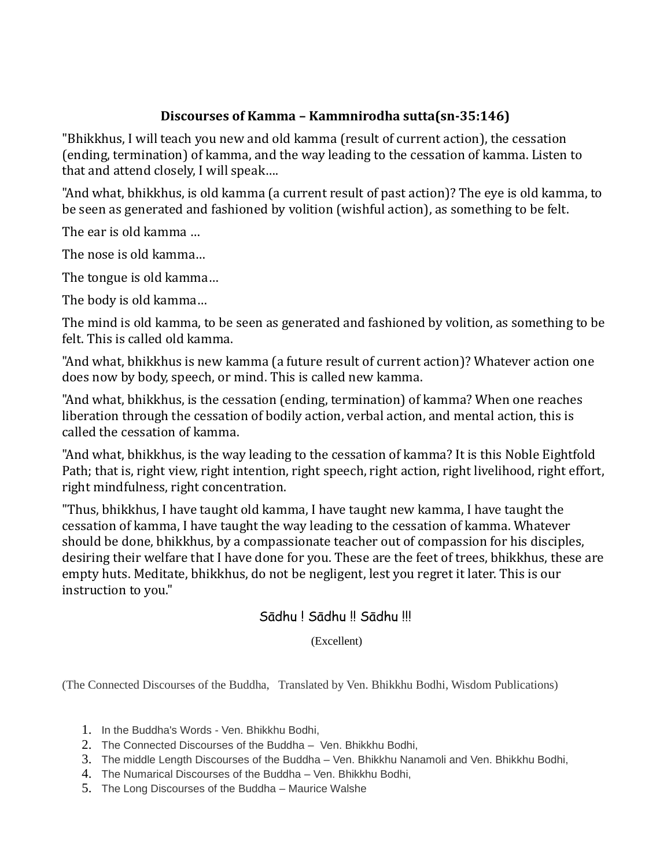## **Discourses of Kamma – Kammnirodha sutta(sn-35:146)**

"Bhikkhus, I will teach you new and old kamma (result of current action), the cessation (ending, termination) of kamma, and the way leading to the cessation of kamma. Listen to that and attend closely, I will speak….

"And what, bhikkhus, is old kamma (a current result of past action)? The eye is old kamma, to be seen as generated and fashioned by volition (wishful action), as something to be felt.

The ear is old kamma …

The nose is old kamma…

The tongue is old kamma…

The body is old kamma…

The mind is old kamma, to be seen as generated and fashioned by volition, as something to be felt. This is called old kamma.

"And what, bhikkhus is new kamma (a future result of current action)? Whatever action one does now by body, speech, or mind. This is called new kamma.

"And what, bhikkhus, is the cessation (ending, termination) of kamma? When one reaches liberation through the cessation of bodily action, verbal action, and mental action, this is called the cessation of kamma.

"And what, bhikkhus, is the way leading to the cessation of kamma? It is this Noble Eightfold Path; that is, right view, right intention, right speech, right action, right livelihood, right effort, right mindfulness, right concentration.

"Thus, bhikkhus, I have taught old kamma, I have taught new kamma, I have taught the cessation of kamma, I have taught the way leading to the cessation of kamma. Whatever should be done, bhikkhus, by a compassionate teacher out of compassion for his disciples, desiring their welfare that I have done for you. These are the feet of trees, bhikkhus, these are empty huts. Meditate, bhikkhus, do not be negligent, lest you regret it later. This is our instruction to you."

## Sādhu ! Sādhu !! Sādhu !!!

(Excellent)

(The Connected Discourses of the Buddha, Translated by Ven. Bhikkhu Bodhi, Wisdom Publications)

- 1. In the Buddha's Words Ven. Bhikkhu Bodhi,
- 2. The Connected Discourses of the Buddha Ven. Bhikkhu Bodhi,
- 3. The middle Length Discourses of the Buddha Ven. Bhikkhu Nanamoli and Ven. Bhikkhu Bodhi,
- 4. The Numarical Discourses of the Buddha Ven. Bhikkhu Bodhi,
- 5. The Long Discourses of the Buddha Maurice Walshe